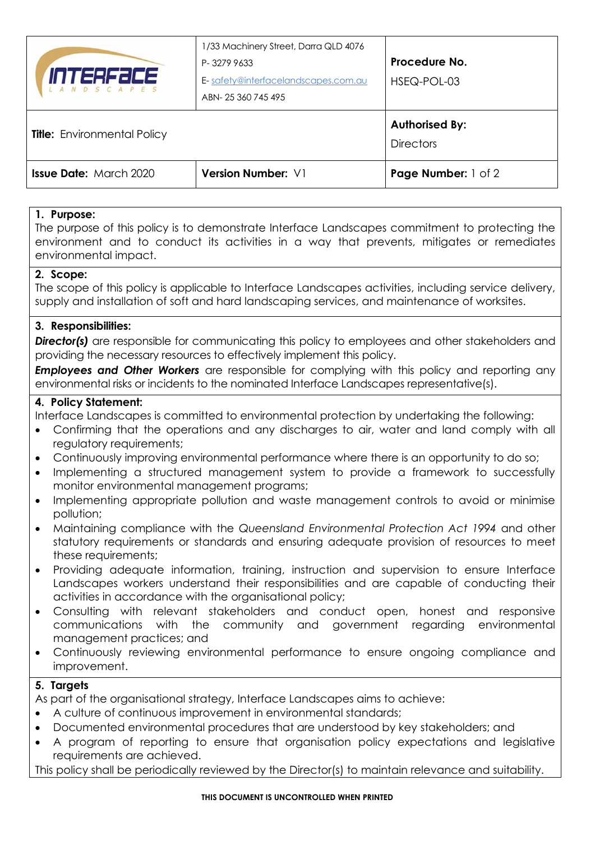| <b>Issue Date: March 2020</b>      | Version Number: V1                                                                                            | <b>Page Number:</b> 1 of 2                |
|------------------------------------|---------------------------------------------------------------------------------------------------------------|-------------------------------------------|
| <b>Title:</b> Environmental Policy |                                                                                                               | <b>Authorised By:</b><br><b>Directors</b> |
| INTERFƏCE<br><i>LANDSCAPES</i>     | 1/33 Machinery Street, Darra QLD 4076<br>P-32799633<br>E-safety@interfacelandscapes.com.au<br>ABN-25360745495 | Procedure No.<br>HSEQ-POL-03              |

# **1. Purpose:**

The purpose of this policy is to demonstrate Interface Landscapes commitment to protecting the environment and to conduct its activities in a way that prevents, mitigates or remediates environmental impact.

## **2. Scope:**

The scope of this policy is applicable to Interface Landscapes activities, including service delivery, supply and installation of soft and hard landscaping services, and maintenance of worksites.

## **3. Responsibilities:**

**Director(s)** are responsible for communicating this policy to employees and other stakeholders and providing the necessary resources to effectively implement this policy.

**Employees and Other Workers** are responsible for complying with this policy and reporting any environmental risks or incidents to the nominated Interface Landscapes representative(s).

# **4. Policy Statement:**

Interface Landscapes is committed to environmental protection by undertaking the following:

- Confirming that the operations and any discharges to air, water and land comply with all regulatory requirements;
- Continuously improving environmental performance where there is an opportunity to do so;
- Implementing a structured management system to provide a framework to successfully monitor environmental management programs;
- Implementing appropriate pollution and waste management controls to avoid or minimise pollution;
- Maintaining compliance with the *Queensland Environmental Protection Act 1994* and other statutory requirements or standards and ensuring adequate provision of resources to meet these requirements;
- Providing adequate information, training, instruction and supervision to ensure Interface Landscapes workers understand their responsibilities and are capable of conducting their activities in accordance with the organisational policy;
- Consulting with relevant stakeholders and conduct open, honest and responsive communications with the community and government regarding environmental management practices; and
- Continuously reviewing environmental performance to ensure ongoing compliance and improvement.

# **5. Targets**

As part of the organisational strategy, Interface Landscapes aims to achieve:

- A culture of continuous improvement in environmental standards;
- Documented environmental procedures that are understood by key stakeholders; and
- A program of reporting to ensure that organisation policy expectations and legislative requirements are achieved.

This policy shall be periodically reviewed by the Director(s) to maintain relevance and suitability.